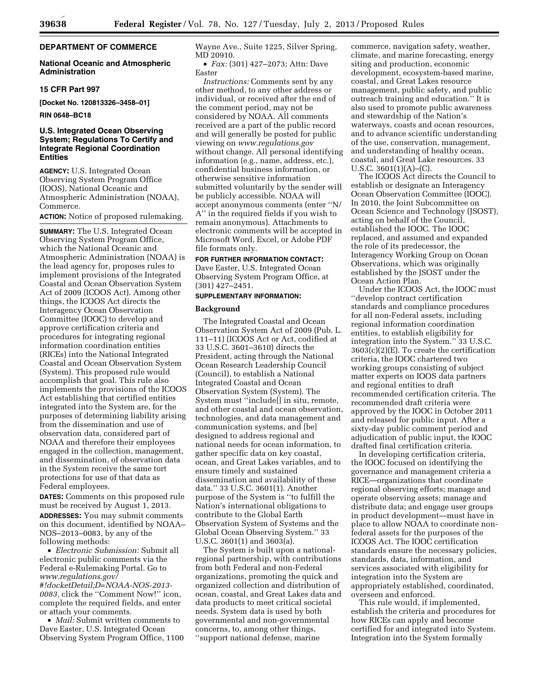# **DEPARTMENT OF COMMERCE**

# **National Oceanic and Atmospheric Administration**

# **15 CFR Part 997**

**[Docket No. 120813326–3458–01]** 

**RIN 0648–BC18** 

# **U.S. Integrated Ocean Observing System; Regulations To Certify and Integrate Regional Coordination Entities**

**AGENCY:** U.S. Integrated Ocean Observing System Program Office (IOOS), National Oceanic and Atmospheric Administration (NOAA), Commerce.

**ACTION:** Notice of proposed rulemaking.

**SUMMARY:** The U.S. Integrated Ocean Observing System Program Office, which the National Oceanic and Atmospheric Administration (NOAA) is the lead agency for, proposes rules to implement provisions of the Integrated Coastal and Ocean Observation System Act of 2009 (ICOOS Act). Among other things, the ICOOS Act directs the Interagency Ocean Observation Committee (IOOC) to develop and approve certification criteria and procedures for integrating regional information coordination entities (RICEs) into the National Integrated Coastal and Ocean Observation System (System). This proposed rule would accomplish that goal. This rule also implements the provisions of the ICOOS Act establishing that certified entities integrated into the System are, for the purposes of determining liability arising from the dissemination and use of observation data, considered part of NOAA and therefore their employees engaged in the collection, management, and dissemination, of observation data in the System receive the same tort protections for use of that data as Federal employees.

**DATES:** Comments on this proposed rule must be received by August 1, 2013. **ADDRESSES:** You may submit comments on this document, identified by NOAA– NOS–2013–0083, by any of the following methods:

• *Electronic Submission:* Submit all electronic public comments via the Federal e-Rulemaking Portal. Go to *[www.regulations.gov/](http://www.regulations.gov/#!docketDetail;D=NOAA-NOS-2013-0083) [#!docketDetail;D=NOAA-NOS-2013-](http://www.regulations.gov/#!docketDetail;D=NOAA-NOS-2013-0083)  [0083,](http://www.regulations.gov/#!docketDetail;D=NOAA-NOS-2013-0083)* click the ''Comment Now!'' icon, complete the required fields, and enter or attach your comments.

• *Mail:* Submit written comments to Dave Easter, U.S. Integrated Ocean Observing System Program Office, 1100 Wayne Ave., Suite 1225, Silver Spring, MD 20910.

• *Fax:* (301) 427–2073; Attn: Dave Easter

*Instructions:* Comments sent by any other method, to any other address or individual, or received after the end of the comment period, may not be considered by NOAA. All comments received are a part of the public record and will generally be posted for public viewing on *[www.regulations.gov](http://www.regulations.gov)*  without change. All personal identifying information (e.g., name, address, etc.), confidential business information, or otherwise sensitive information submitted voluntarily by the sender will be publicly accessible. NOAA will accept anonymous comments (enter ''N/ A'' in the required fields if you wish to remain anonymous). Attachments to electronic comments will be accepted in Microsoft Word, Excel, or Adobe PDF file formats only.

#### **FOR FURTHER INFORMATION CONTACT:**

Dave Easter, U.S. Integrated Ocean Observing System Program Office, at (301) 427–2451.

### **SUPPLEMENTARY INFORMATION:**

#### **Background**

The Integrated Coastal and Ocean Observation System Act of 2009 (Pub. L. 111–11) (ICOOS Act or Act, codified at 33 U.S.C. 3601–3610) directs the President, acting through the National Ocean Research Leadership Council (Council), to establish a National Integrated Coastal and Ocean Observation System (System). The System must ''include[] in situ, remote, and other coastal and ocean observation, technologies, and data management and communication systems, and [be] designed to address regional and national needs for ocean information, to gather specific data on key coastal, ocean, and Great Lakes variables, and to ensure timely and sustained dissemination and availability of these data.'' 33 U.S.C. 3601(1). Another purpose of the System is ''to fulfill the Nation's international obligations to contribute to the Global Earth Observation System of Systems and the Global Ocean Observing System.'' 33 U.S.C. 3601(1) and 3603(a).

The System is built upon a nationalregional partnership, with contributions from both Federal and non-Federal organizations, promoting the quick and organized collection and distribution of ocean, coastal, and Great Lakes data and data products to meet critical societal needs. System data is used by both governmental and non-governmental concerns, to, among other things, ''support national defense, marine

commerce, navigation safety, weather, climate, and marine forecasting, energy siting and production, economic development, ecosystem-based marine, coastal, and Great Lakes resource management, public safety, and public outreach training and education.'' It is also used to promote public awareness and stewardship of the Nation's waterways, coasts and ocean resources, and to advance scientific understanding of the use, conservation, management, and understanding of healthy ocean, coastal, and Great Lake resources. 33 U.S.C.  $3601(1)(A)$ –(C).

The ICOOS Act directs the Council to establish or designate an Interagency Ocean Observation Committee (IOOC). In 2010, the Joint Subcommittee on Ocean Science and Technology (JSOST), acting on behalf of the Council, established the IOOC. The IOOC replaced, and assumed and expanded the role of its predecessor, the Interagency Working Group on Ocean Observations, which was originally established by the JSOST under the Ocean Action Plan.

Under the ICOOS Act, the IOOC must ''develop contract certification standards and compliance procedures for all non-Federal assets, including regional information coordination entities, to establish eligibility for integration into the System.'' 33 U.S.C. 3603(c)(2)(E). To create the certification criteria, the IOOC chartered two working groups consisting of subject matter experts on IOOS data partners and regional entities to draft recommended certification criteria. The recommended draft criteria were approved by the IOOC in October 2011 and released for public input. After a sixty-day public comment period and adjudication of public input, the IOOC drafted final certification criteria.

In developing certification criteria, the IOOC focused on identifying the governance and management criteria a RICE—organizations that coordinate regional observing efforts; manage and operate observing assets; manage and distribute data; and engage user groups in product development—must have in place to allow NOAA to coordinate nonfederal assets for the purposes of the ICOOS Act. The IOOC certification standards ensure the necessary policies, standards, data, information, and services associated with eligibility for integration into the System are appropriately established, coordinated, overseen and enforced.

This rule would, if implemented, establish the criteria and procedures for how RICEs can apply and become certified for and integrated into System. Integration into the System formally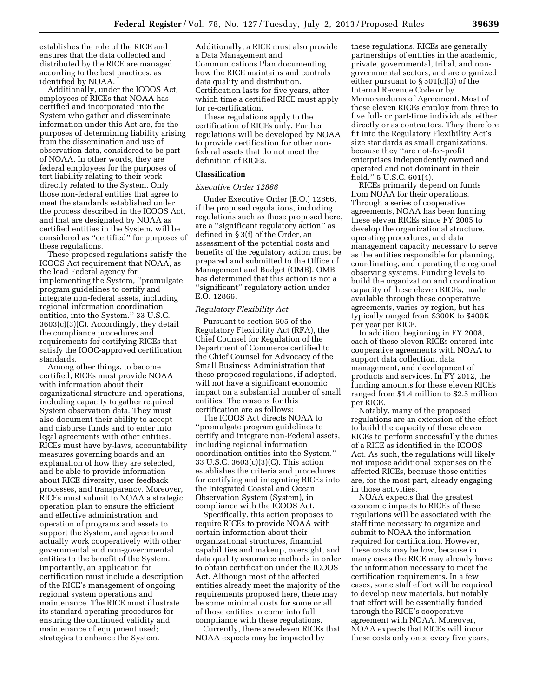establishes the role of the RICE and ensures that the data collected and distributed by the RICE are managed according to the best practices, as identified by NOAA.

Additionally, under the ICOOS Act, employees of RICEs that NOAA has certified and incorporated into the System who gather and disseminate information under this Act are, for the purposes of determining liability arising from the dissemination and use of observation data, considered to be part of NOAA. In other words, they are federal employees for the purposes of tort liability relating to their work directly related to the System. Only those non-federal entities that agree to meet the standards established under the process described in the ICOOS Act, and that are designated by NOAA as certified entities in the System, will be considered as ''certified'' for purposes of these regulations.

These proposed regulations satisfy the ICOOS Act requirement that NOAA, as the lead Federal agency for implementing the System, ''promulgate program guidelines to certify and integrate non-federal assets, including regional information coordination entities, into the System.'' 33 U.S.C. 3603(c)(3)(C). Accordingly, they detail the compliance procedures and requirements for certifying RICEs that satisfy the IOOC-approved certification standards.

Among other things, to become certified, RICEs must provide NOAA with information about their organizational structure and operations, including capacity to gather required System observation data. They must also document their ability to accept and disburse funds and to enter into legal agreements with other entities. RICEs must have by-laws, accountability measures governing boards and an explanation of how they are selected, and be able to provide information about RICE diversity, user feedback processes, and transparency. Moreover, RICEs must submit to NOAA a strategic operation plan to ensure the efficient and effective administration and operation of programs and assets to support the System, and agree to and actually work cooperatively with other governmental and non-governmental entities to the benefit of the System. Importantly, an application for certification must include a description of the RICE's management of ongoing regional system operations and maintenance. The RICE must illustrate its standard operating procedures for ensuring the continued validity and maintenance of equipment used; strategies to enhance the System.

Additionally, a RICE must also provide a Data Management and Communications Plan documenting how the RICE maintains and controls data quality and distribution. Certification lasts for five years, after which time a certified RICE must apply for re-certification.

These regulations apply to the certification of RICEs only. Further regulations will be developed by NOAA to provide certification for other nonfederal assets that do not meet the definition of RICEs.

### **Classification**

### *Executive Order 12866*

Under Executive Order (E.O.) 12866, if the proposed regulations, including regulations such as those proposed here, are a ''significant regulatory action'' as defined in § 3(f) of the Order, an assessment of the potential costs and benefits of the regulatory action must be prepared and submitted to the Office of Management and Budget (OMB). OMB has determined that this action is not a ''significant'' regulatory action under E.O. 12866.

# *Regulatory Flexibility Act*

Pursuant to section 605 of the Regulatory Flexibility Act (RFA), the Chief Counsel for Regulation of the Department of Commerce certified to the Chief Counsel for Advocacy of the Small Business Administration that these proposed regulations, if adopted, will not have a significant economic impact on a substantial number of small entities. The reasons for this certification are as follows:

The ICOOS Act directs NOAA to ''promulgate program guidelines to certify and integrate non-Federal assets, including regional information coordination entities into the System.'' 33 U.S.C. 3603(c)(3)(C). This action establishes the criteria and procedures for certifying and integrating RICEs into the Integrated Coastal and Ocean Observation System (System), in compliance with the ICOOS Act.

Specifically, this action proposes to require RICEs to provide NOAA with certain information about their organizational structures, financial capabilities and makeup, oversight, and data quality assurance methods in order to obtain certification under the ICOOS Act. Although most of the affected entities already meet the majority of the requirements proposed here, there may be some minimal costs for some or all of those entities to come into full compliance with these regulations.

Currently, there are eleven RICEs that NOAA expects may be impacted by

these regulations. RICEs are generally partnerships of entities in the academic, private, governmental, tribal, and nongovernmental sectors, and are organized either pursuant to § 501(c)(3) of the Internal Revenue Code or by Memorandums of Agreement. Most of these eleven RICEs employ from three to five full- or part-time individuals, either directly or as contractors. They therefore fit into the Regulatory Flexibility Act's size standards as small organizations, because they ''are not-for-profit enterprises independently owned and operated and not dominant in their field.'' 5 U.S.C. 601(4).

RICEs primarily depend on funds from NOAA for their operations. Through a series of cooperative agreements, NOAA has been funding these eleven RICEs since FY 2005 to develop the organizational structure, operating procedures, and data management capacity necessary to serve as the entities responsible for planning, coordinating, and operating the regional observing systems. Funding levels to build the organization and coordination capacity of these eleven RICEs, made available through these cooperative agreements, varies by region, but has typically ranged from \$300K to \$400K per year per RICE.

In addition, beginning in FY 2008, each of these eleven RICEs entered into cooperative agreements with NOAA to support data collection, data management, and development of products and services. In FY 2012, the funding amounts for these eleven RICEs ranged from \$1.4 million to \$2.5 million per RICE.

Notably, many of the proposed regulations are an extension of the effort to build the capacity of these eleven RICEs to perform successfully the duties of a RICE as identified in the ICOOS Act. As such, the regulations will likely not impose additional expenses on the affected RICEs, because those entities are, for the most part, already engaging in those activities.

NOAA expects that the greatest economic impacts to RICEs of these regulations will be associated with the staff time necessary to organize and submit to NOAA the information required for certification. However, these costs may be low, because in many cases the RICE may already have the information necessary to meet the certification requirements. In a few cases, some staff effort will be required to develop new materials, but notably that effort will be essentially funded through the RICE's cooperative agreement with NOAA. Moreover, NOAA expects that RICEs will incur these costs only once every five years,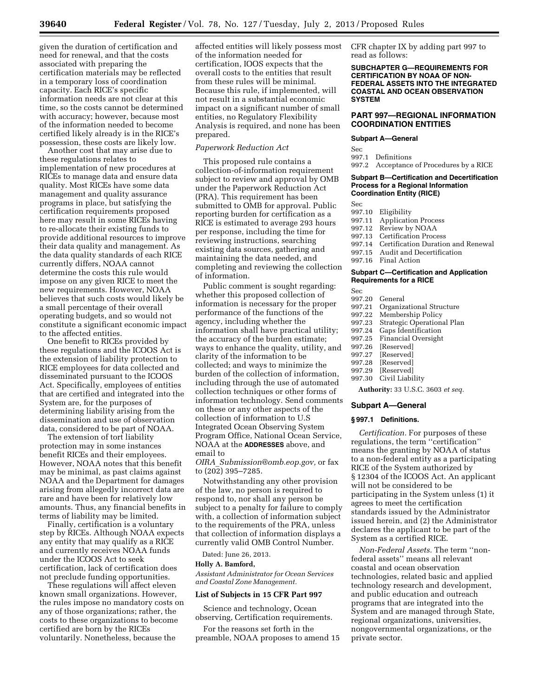given the duration of certification and need for renewal, and that the costs associated with preparing the certification materials may be reflected in a temporary loss of coordination capacity. Each RICE's specific information needs are not clear at this time, so the costs cannot be determined with accuracy; however, because most of the information needed to become certified likely already is in the RICE's possession, these costs are likely low.

Another cost that may arise due to these regulations relates to implementation of new procedures at RICEs to manage data and ensure data quality. Most RICEs have some data management and quality assurance programs in place, but satisfying the certification requirements proposed here may result in some RICEs having to re-allocate their existing funds to provide additional resources to improve their data quality and management. As the data quality standards of each RICE currently differs, NOAA cannot determine the costs this rule would impose on any given RICE to meet the new requirements. However, NOAA believes that such costs would likely be a small percentage of their overall operating budgets, and so would not constitute a significant economic impact to the affected entities.

One benefit to RICEs provided by these regulations and the ICOOS Act is the extension of liability protection to RICE employees for data collected and disseminated pursuant to the ICOOS Act. Specifically, employees of entities that are certified and integrated into the System are, for the purposes of determining liability arising from the dissemination and use of observation data, considered to be part of NOAA.

The extension of tort liability protection may in some instances benefit RICEs and their employees. However, NOAA notes that this benefit may be minimal, as past claims against NOAA and the Department for damages arising from allegedly incorrect data are rare and have been for relatively low amounts. Thus, any financial benefits in terms of liability may be limited.

Finally, certification is a voluntary step by RICEs. Although NOAA expects any entity that may qualify as a RICE and currently receives NOAA funds under the ICOOS Act to seek certification, lack of certification does not preclude funding opportunities.

These regulations will affect eleven known small organizations. However, the rules impose no mandatory costs on any of those organizations; rather, the costs to these organizations to become certified are born by the RICEs voluntarily. Nonetheless, because the

affected entities will likely possess most of the information needed for certification, IOOS expects that the overall costs to the entities that result from these rules will be minimal. Because this rule, if implemented, will not result in a substantial economic impact on a significant number of small entities, no Regulatory Flexibility Analysis is required, and none has been prepared.

### *Paperwork Reduction Act*

This proposed rule contains a collection-of-information requirement subject to review and approval by OMB under the Paperwork Reduction Act (PRA). This requirement has been submitted to OMB for approval. Public reporting burden for certification as a RICE is estimated to average 293 hours per response, including the time for reviewing instructions, searching existing data sources, gathering and maintaining the data needed, and completing and reviewing the collection of information.

Public comment is sought regarding: whether this proposed collection of information is necessary for the proper performance of the functions of the agency, including whether the information shall have practical utility; the accuracy of the burden estimate; ways to enhance the quality, utility, and clarity of the information to be collected; and ways to minimize the burden of the collection of information, including through the use of automated collection techniques or other forms of information technology. Send comments on these or any other aspects of the collection of information to U.S Integrated Ocean Observing System Program Office, National Ocean Service, NOAA at the **ADDRESSES** above, and email to

*OIRA*\_*[Submission@omb.eop.gov,](mailto:OIRA_Submission@omb.eop.gov)* or fax to (202) 395–7285.

Notwithstanding any other provision of the law, no person is required to respond to, nor shall any person be subject to a penalty for failure to comply with, a collection of information subject to the requirements of the PRA, unless that collection of information displays a currently valid OMB Control Number.

Dated: June 26, 2013.

# **Holly A. Bamford,**

*Assistant Administrator for Ocean Services and Coastal Zone Management.* 

#### **List of Subjects in 15 CFR Part 997**

Science and technology, Ocean observing, Certification requirements.

For the reasons set forth in the preamble, NOAA proposes to amend 15 CFR chapter IX by adding part 997 to read as follows:

### **SUBCHAPTER G—REQUIREMENTS FOR CERTIFICATION BY NOAA OF NON-FEDERAL ASSETS INTO THE INTEGRATED COASTAL AND OCEAN OBSERVATION SYSTEM**

# **PART 997—REGIONAL INFORMATION COORDINATION ENTITIES**

#### **Subpart A—General**

Sec

997.1 Definitions 997.2 Acceptance of Procedures by a RICE

### **Subpart B—Certification and Decertification Process for a Regional Information Coordination Entity (RICE)**

Sec<br>997.10

- Eligibility
- 997.11 Application Process<br>997.12 Review by NOAA
- Review by NOAA
- 997.13 Certification Process 997.14 Certification Duration and Renewal
- 
- 997.15 Audit and Decertification Final Action
- 

### **Subpart C—Certification and Application Requirements for a RICE**

# Sec

- 997.20 General
- 997.21 Organizational Structure
- 997.22 Membership Policy 997.23 Strategic Operational Plan
- 
- 997.24 Gaps Identification 997.25 Financial Oversight
- 997.26 [Reserved]
- 997.27 [Reserved]
- 997.28 [Reserved]
- 997.29 [Reserved]
- 997.30 Civil Liability

**Authority:** 33 U.S.C. 3603 *et seq.* 

# **Subpart A—General**

# **§ 997.1 Definitions.**

*Certification.* For purposes of these regulations, the term ''certification'' means the granting by NOAA of status to a non-federal entity as a participating RICE of the System authorized by § 12304 of the ICOOS Act. An applicant will not be considered to be participating in the System unless (1) it agrees to meet the certification standards issued by the Administrator issued herein, and (2) the Administrator declares the applicant to be part of the System as a certified RICE.

*Non-Federal Assets.* The term ''nonfederal assets'' means all relevant coastal and ocean observation technologies, related basic and applied technology research and development, and public education and outreach programs that are integrated into the System and are managed through State, regional organizations, universities, nongovernmental organizations, or the private sector.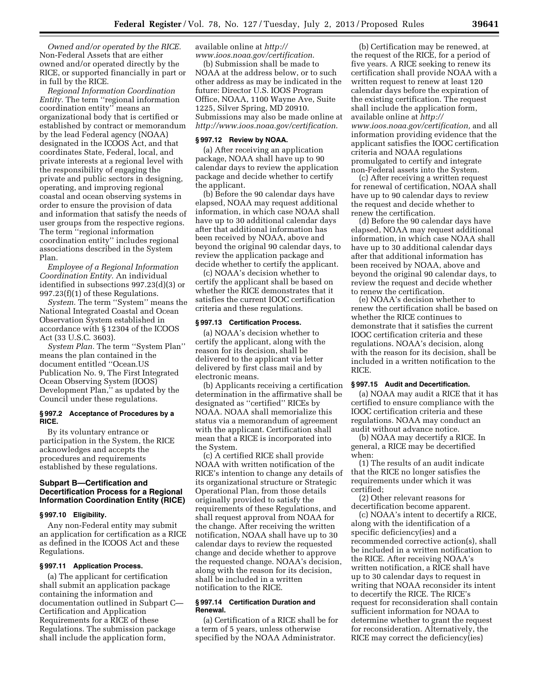*Owned and/or operated by the RICE.*  Non-Federal Assets that are either owned and/or operated directly by the RICE, or supported financially in part or in full by the RICE.

*Regional Information Coordination Entity.* The term ''regional information coordination entity'' means an organizational body that is certified or established by contract or memorandum by the lead Federal agency (NOAA) designated in the ICOOS Act, and that coordinates State, Federal, local, and private interests at a regional level with the responsibility of engaging the private and public sectors in designing, operating, and improving regional coastal and ocean observing systems in order to ensure the provision of data and information that satisfy the needs of user groups from the respective regions. The term ''regional information coordination entity'' includes regional associations described in the System Plan.

*Employee of a Regional Information Coordination Entity.* An individual identified in subsections 997.23(d)(3) or 997.23(f)(1) of these Regulations.

*System.* The term ''System'' means the National Integrated Coastal and Ocean Observation System established in accordance with § 12304 of the ICOOS Act (33 U.S.C. 3603).

*System Plan.* The term ''System Plan'' means the plan contained in the document entitled ''Ocean.US Publication No. 9, The First Integrated Ocean Observing System (IOOS) Development Plan,'' as updated by the Council under these regulations.

# **§ 997.2 Acceptance of Procedures by a RICE.**

By its voluntary entrance or participation in the System, the RICE acknowledges and accepts the procedures and requirements established by these regulations.

# **Subpart B—Certification and Decertification Process for a Regional Information Coordination Entity (RICE)**

### **§ 997.10 Eligibility.**

Any non-Federal entity may submit an application for certification as a RICE as defined in the ICOOS Act and these Regulations.

#### **§ 997.11 Application Process.**

(a) The applicant for certification shall submit an application package containing the information and documentation outlined in Subpart C— Certification and Application Requirements for a RICE of these Regulations. The submission package shall include the application form,

available online at *[http://](http://www.ioos.noaa.gov/certification)  [www.ioos.noaa.gov/certification](http://www.ioos.noaa.gov/certification)*.

(b) Submission shall be made to NOAA at the address below, or to such other address as may be indicated in the future: Director U.S. IOOS Program Office, NOAA, 1100 Wayne Ave, Suite 1225, Silver Spring, MD 20910. Submissions may also be made online at *<http://www.ioos.noaa.gov/certification>*.

#### **§ 997.12 Review by NOAA.**

(a) After receiving an application package, NOAA shall have up to 90 calendar days to review the application package and decide whether to certify the applicant.

(b) Before the 90 calendar days have elapsed, NOAA may request additional information, in which case NOAA shall have up to 30 additional calendar days after that additional information has been received by NOAA, above and beyond the original 90 calendar days, to review the application package and decide whether to certify the applicant.

(c) NOAA's decision whether to certify the applicant shall be based on whether the RICE demonstrates that it satisfies the current IOOC certification criteria and these regulations.

### **§ 997.13 Certification Process.**

(a) NOAA's decision whether to certify the applicant, along with the reason for its decision, shall be delivered to the applicant via letter delivered by first class mail and by electronic means.

(b) Applicants receiving a certification determination in the affirmative shall be designated as ''certified'' RICEs by NOAA. NOAA shall memorialize this status via a memorandum of agreement with the applicant. Certification shall mean that a RICE is incorporated into the System.

(c) A certified RICE shall provide NOAA with written notification of the RICE's intention to change any details of its organizational structure or Strategic Operational Plan, from those details originally provided to satisfy the requirements of these Regulations, and shall request approval from NOAA for the change. After receiving the written notification, NOAA shall have up to 30 calendar days to review the requested change and decide whether to approve the requested change. NOAA's decision, along with the reason for its decision, shall be included in a written notification to the RICE.

### **§ 997.14 Certification Duration and Renewal.**

(a) Certification of a RICE shall be for a term of 5 years, unless otherwise specified by the NOAA Administrator.

(b) Certification may be renewed, at the request of the RICE, for a period of five years. A RICE seeking to renew its certification shall provide NOAA with a written request to renew at least 120 calendar days before the expiration of the existing certification. The request shall include the application form, available online at *[http://](http://www.ioos.noaa.gov/certification)  [www.ioos.noaa.gov/certification,](http://www.ioos.noaa.gov/certification)* and all information providing evidence that the applicant satisfies the IOOC certification criteria and NOAA regulations promulgated to certify and integrate non-Federal assets into the System.

(c) After receiving a written request for renewal of certification, NOAA shall have up to 90 calendar days to review the request and decide whether to renew the certification.

(d) Before the 90 calendar days have elapsed, NOAA may request additional information, in which case NOAA shall have up to 30 additional calendar days after that additional information has been received by NOAA, above and beyond the original 90 calendar days, to review the request and decide whether to renew the certification.

(e) NOAA's decision whether to renew the certification shall be based on whether the RICE continues to demonstrate that it satisfies the current IOOC certification criteria and these regulations. NOAA's decision, along with the reason for its decision, shall be included in a written notification to the RICE.

# **§ 997.15 Audit and Decertification.**

(a) NOAA may audit a RICE that it has certified to ensure compliance with the IOOC certification criteria and these regulations. NOAA may conduct an audit without advance notice.

(b) NOAA may decertify a RICE. In general, a RICE may be decertified when:

(1) The results of an audit indicate that the RICE no longer satisfies the requirements under which it was certified;

(2) Other relevant reasons for decertification become apparent.

(c) NOAA's intent to decertify a RICE, along with the identification of a specific deficiency(ies) and a recommended corrective action(s), shall be included in a written notification to the RICE. After receiving NOAA's written notification, a RICE shall have up to 30 calendar days to request in writing that NOAA reconsider its intent to decertify the RICE. The RICE's request for reconsideration shall contain sufficient information for NOAA to determine whether to grant the request for reconsideration. Alternatively, the RICE may correct the deficiency(ies)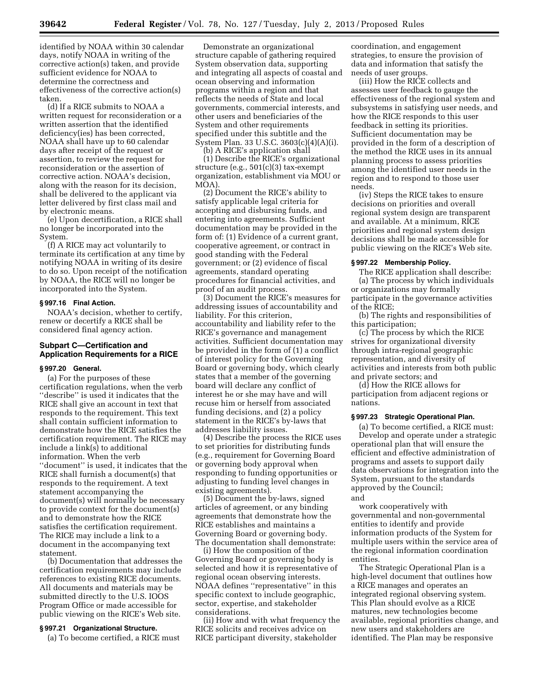identified by NOAA within 30 calendar days, notify NOAA in writing of the corrective action(s) taken, and provide sufficient evidence for NOAA to determine the correctness and effectiveness of the corrective action(s) taken.

(d) If a RICE submits to NOAA a written request for reconsideration or a written assertion that the identified deficiency(ies) has been corrected, NOAA shall have up to 60 calendar days after receipt of the request or assertion, to review the request for reconsideration or the assertion of corrective action. NOAA's decision, along with the reason for its decision, shall be delivered to the applicant via letter delivered by first class mail and by electronic means.

(e) Upon decertification, a RICE shall no longer be incorporated into the System.

(f) A RICE may act voluntarily to terminate its certification at any time by notifying NOAA in writing of its desire to do so. Upon receipt of the notification by NOAA, the RICE will no longer be incorporated into the System.

### **§ 997.16 Final Action.**

NOAA's decision, whether to certify, renew or decertify a RICE shall be considered final agency action.

# **Subpart C—Certification and Application Requirements for a RICE**

#### **§ 997.20 General.**

(a) For the purposes of these certification regulations, when the verb ''describe'' is used it indicates that the RICE shall give an account in text that responds to the requirement. This text shall contain sufficient information to demonstrate how the RICE satisfies the certification requirement. The RICE may include a link(s) to additional information. When the verb ''document'' is used, it indicates that the RICE shall furnish a document(s) that responds to the requirement. A text statement accompanying the document(s) will normally be necessary to provide context for the document(s) and to demonstrate how the RICE satisfies the certification requirement. The RICE may include a link to a document in the accompanying text statement.

(b) Documentation that addresses the certification requirements may include references to existing RICE documents. All documents and materials may be submitted directly to the U.S. IOOS Program Office or made accessible for public viewing on the RICE's Web site.

#### **§ 997.21 Organizational Structure.**

(a) To become certified, a RICE must

Demonstrate an organizational structure capable of gathering required System observation data, supporting and integrating all aspects of coastal and ocean observing and information programs within a region and that reflects the needs of State and local governments, commercial interests, and other users and beneficiaries of the System and other requirements specified under this subtitle and the System Plan. 33 U.S.C. 3603(c)(4)(A)(i).

(b) A RICE's application shall (1) Describe the RICE's organizational structure (e.g., 501(c)(3) tax-exempt organization, establishment via MOU or MOA).

(2) Document the RICE's ability to satisfy applicable legal criteria for accepting and disbursing funds, and entering into agreements. Sufficient documentation may be provided in the form of: (1) Evidence of a current grant, cooperative agreement, or contract in good standing with the Federal government; or (2) evidence of fiscal agreements, standard operating procedures for financial activities, and proof of an audit process.

(3) Document the RICE's measures for addressing issues of accountability and liability. For this criterion, accountability and liability refer to the RICE's governance and management activities. Sufficient documentation may be provided in the form of (1) a conflict of interest policy for the Governing Board or governing body, which clearly states that a member of the governing board will declare any conflict of interest he or she may have and will recuse him or herself from associated funding decisions, and (2) a policy statement in the RICE's by-laws that addresses liability issues.

(4) Describe the process the RICE uses to set priorities for distributing funds (e.g., requirement for Governing Board or governing body approval when responding to funding opportunities or adjusting to funding level changes in existing agreements).

(5) Document the by-laws, signed articles of agreement, or any binding agreements that demonstrate how the RICE establishes and maintains a Governing Board or governing body. The documentation shall demonstrate:

(i) How the composition of the Governing Board or governing body is selected and how it is representative of regional ocean observing interests. NOAA defines ''representative'' in this specific context to include geographic, sector, expertise, and stakeholder considerations.

(ii) How and with what frequency the RICE solicits and receives advice on RICE participant diversity, stakeholder

coordination, and engagement strategies, to ensure the provision of data and information that satisfy the needs of user groups.

(iii) How the RICE collects and assesses user feedback to gauge the effectiveness of the regional system and subsystems in satisfying user needs, and how the RICE responds to this user feedback in setting its priorities. Sufficient documentation may be provided in the form of a description of the method the RICE uses in its annual planning process to assess priorities among the identified user needs in the region and to respond to those user needs.

(iv) Steps the RICE takes to ensure decisions on priorities and overall regional system design are transparent and available. At a minimum, RICE priorities and regional system design decisions shall be made accessible for public viewing on the RICE's Web site.

### **§ 997.22 Membership Policy.**

The RICE application shall describe: (a) The process by which individuals or organizations may formally

participate in the governance activities of the RICE;

(b) The rights and responsibilities of this participation;

(c) The process by which the RICE strives for organizational diversity through intra-regional geographic representation, and diversity of activities and interests from both public and private sectors; and

(d) How the RICE allows for participation from adjacent regions or nations.

### **§ 997.23 Strategic Operational Plan.**

(a) To become certified, a RICE must: Develop and operate under a strategic operational plan that will ensure the efficient and effective administration of programs and assets to support daily data observations for integration into the System, pursuant to the standards approved by the Council; and

work cooperatively with governmental and non-governmental entities to identify and provide information products of the System for multiple users within the service area of the regional information coordination entities.

The Strategic Operational Plan is a high-level document that outlines how a RICE manages and operates an integrated regional observing system. This Plan should evolve as a RICE matures, new technologies become available, regional priorities change, and new users and stakeholders are identified. The Plan may be responsive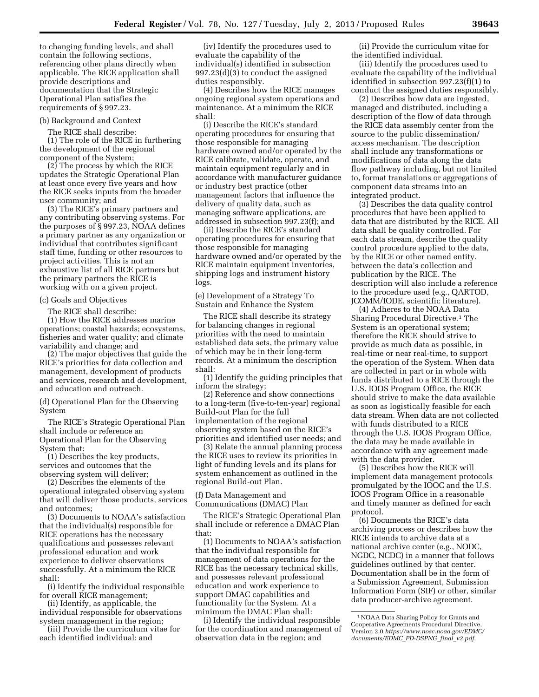to changing funding levels, and shall contain the following sections, referencing other plans directly when applicable. The RICE application shall provide descriptions and documentation that the Strategic Operational Plan satisfies the requirements of § 997.23.

### (b) Background and Context

The RICE shall describe:

(1) The role of the RICE in furthering the development of the regional component of the System;

(2) The process by which the RICE updates the Strategic Operational Plan at least once every five years and how the RICE seeks inputs from the broader user community; and

(3) The RICE's primary partners and any contributing observing systems. For the purposes of § 997.23, NOAA defines a primary partner as any organization or individual that contributes significant staff time, funding or other resources to project activities. This is not an exhaustive list of all RICE partners but the primary partners the RICE is working with on a given project.

#### (c) Goals and Objectives

The RICE shall describe:

(1) How the RICE addresses marine operations; coastal hazards; ecosystems, fisheries and water quality; and climate variability and change; and

(2) The major objectives that guide the RICE's priorities for data collection and management, development of products and services, research and development, and education and outreach.

(d) Operational Plan for the Observing System

The RICE's Strategic Operational Plan shall include or reference an Operational Plan for the Observing System that:

(1) Describes the key products, services and outcomes that the observing system will deliver;

(2) Describes the elements of the operational integrated observing system that will deliver those products, services and outcomes;

(3) Documents to NOAA's satisfaction that the individual(s) responsible for RICE operations has the necessary qualifications and possesses relevant professional education and work experience to deliver observations successfully. At a minimum the RICE shall:

(i) Identify the individual responsible for overall RICE management;

(ii) Identify, as applicable, the individual responsible for observations system management in the region;

(iii) Provide the curriculum vitae for each identified individual; and

(iv) Identify the procedures used to evaluate the capability of the individual(s) identified in subsection 997.23(d)(3) to conduct the assigned duties responsibly.

(4) Describes how the RICE manages ongoing regional system operations and maintenance. At a minimum the RICE shall:

(i) Describe the RICE's standard operating procedures for ensuring that those responsible for managing hardware owned and/or operated by the RICE calibrate, validate, operate, and maintain equipment regularly and in accordance with manufacturer guidance or industry best practice (other management factors that influence the delivery of quality data, such as managing software applications, are addressed in subsection 997.23(f); and

(ii) Describe the RICE's standard operating procedures for ensuring that those responsible for managing hardware owned and/or operated by the RICE maintain equipment inventories, shipping logs and instrument history logs.

(e) Development of a Strategy To Sustain and Enhance the System

The RICE shall describe its strategy for balancing changes in regional priorities with the need to maintain established data sets, the primary value of which may be in their long-term records. At a minimum the description shall:

(1) Identify the guiding principles that inform the strategy;

(2) Reference and show connections to a long-term (five-to-ten-year) regional Build-out Plan for the full implementation of the regional observing system based on the RICE's priorities and identified user needs; and

(3) Relate the annual planning process the RICE uses to review its priorities in light of funding levels and its plans for system enhancement as outlined in the regional Build-out Plan.

(f) Data Management and Communications (DMAC) Plan

The RICE's Strategic Operational Plan shall include or reference a DMAC Plan that:

(1) Documents to NOAA's satisfaction that the individual responsible for management of data operations for the RICE has the necessary technical skills, and possesses relevant professional education and work experience to support DMAC capabilities and functionality for the System. At a minimum the DMAC Plan shall:

(i) Identify the individual responsible for the coordination and management of observation data in the region; and

(ii) Provide the curriculum vitae for the identified individual.

(iii) Identify the procedures used to evaluate the capability of the individual identified in subsection 997.23(f)(1) to conduct the assigned duties responsibly.

(2) Describes how data are ingested, managed and distributed, including a description of the flow of data through the RICE data assembly center from the source to the public dissemination/ access mechanism. The description shall include any transformations or modifications of data along the data flow pathway including, but not limited to, format translations or aggregations of component data streams into an integrated product.

(3) Describes the data quality control procedures that have been applied to data that are distributed by the RICE. All data shall be quality controlled. For each data stream, describe the quality control procedure applied to the data, by the RICE or other named entity, between the data's collection and publication by the RICE. The description will also include a reference to the procedure used (e.g., QARTOD, JCOMM/IODE, scientific literature).

(4) Adheres to the NOAA Data Sharing Procedural Directive.1 The System is an operational system; therefore the RICE should strive to provide as much data as possible, in real-time or near real-time, to support the operation of the System. When data are collected in part or in whole with funds distributed to a RICE through the U.S. IOOS Program Office, the RICE should strive to make the data available as soon as logistically feasible for each data stream. When data are not collected with funds distributed to a RICE through the U.S. IOOS Program Office, the data may be made available in accordance with any agreement made with the data provider.

(5) Describes how the RICE will implement data management protocols promulgated by the IOOC and the U.S. IOOS Program Office in a reasonable and timely manner as defined for each protocol.

(6) Documents the RICE's data archiving process or describes how the RICE intends to archive data at a national archive center (e.g., NODC, NGDC, NCDC) in a manner that follows guidelines outlined by that center. Documentation shall be in the form of a Submission Agreement, Submission Information Form (SIF) or other, similar data producer-archive agreement.

<sup>1</sup>NOAA Data Sharing Policy for Grants and Cooperative Agreements Procedural Directive, Version 2.0 *[https://www.nosc.noaa.gov/EDMC/](https://www.nosc.noaa.gov/EDMC/documents/EDMC_PD-DSPNG_final_v2.pdf) [documents/EDMC](https://www.nosc.noaa.gov/EDMC/documents/EDMC_PD-DSPNG_final_v2.pdf)*\_*PD-DSPNG*\_*final*\_*v2.pdf*.